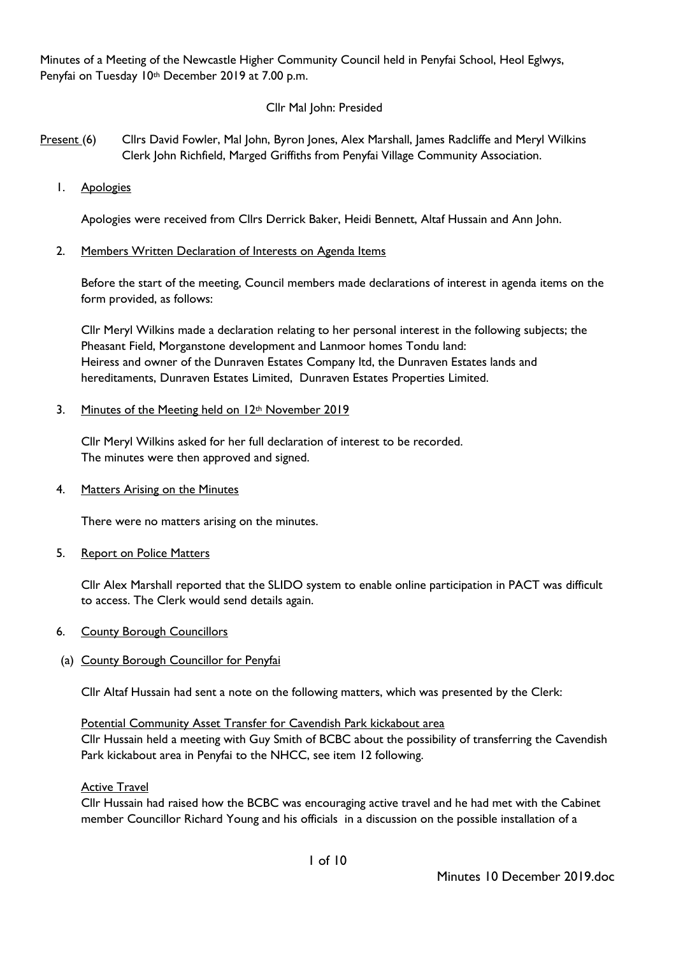Minutes of a Meeting of the Newcastle Higher Community Council held in Penyfai School, Heol Eglwys, Penyfai on Tuesday 10th December 2019 at 7.00 p.m.

# Cllr Mal John: Presided

- Present (6) Cllrs David Fowler, Mal John, Byron Jones, Alex Marshall, James Radcliffe and Meryl Wilkins Clerk John Richfield, Marged Griffiths from Penyfai Village Community Association.
	- 1. Apologies

Apologies were received from Cllrs Derrick Baker, Heidi Bennett, Altaf Hussain and Ann John.

2. Members Written Declaration of Interests on Agenda Items

Before the start of the meeting, Council members made declarations of interest in agenda items on the form provided, as follows:

Cllr Meryl Wilkins made a declaration relating to her personal interest in the following subjects; the Pheasant Field, Morganstone development and Lanmoor homes Tondu land: Heiress and owner of the Dunraven Estates Company ltd, the Dunraven Estates lands and hereditaments, Dunraven Estates Limited, Dunraven Estates Properties Limited.

# 3. Minutes of the Meeting held on 12<sup>th</sup> November 2019

Cllr Meryl Wilkins asked for her full declaration of interest to be recorded. The minutes were then approved and signed.

4. Matters Arising on the Minutes

There were no matters arising on the minutes.

5. Report on Police Matters

Cllr Alex Marshall reported that the SLIDO system to enable online participation in PACT was difficult to access. The Clerk would send details again.

- 6. County Borough Councillors
- (a) County Borough Councillor for Penyfai

Cllr Altaf Hussain had sent a note on the following matters, which was presented by the Clerk:

# Potential Community Asset Transfer for Cavendish Park kickabout area

Cllr Hussain held a meeting with Guy Smith of BCBC about the possibility of transferring the Cavendish Park kickabout area in Penyfai to the NHCC, see item 12 following.

Active Travel

Cllr Hussain had raised how the BCBC was encouraging active travel and he had met with the Cabinet member Councillor Richard Young and his officials in a discussion on the possible installation of a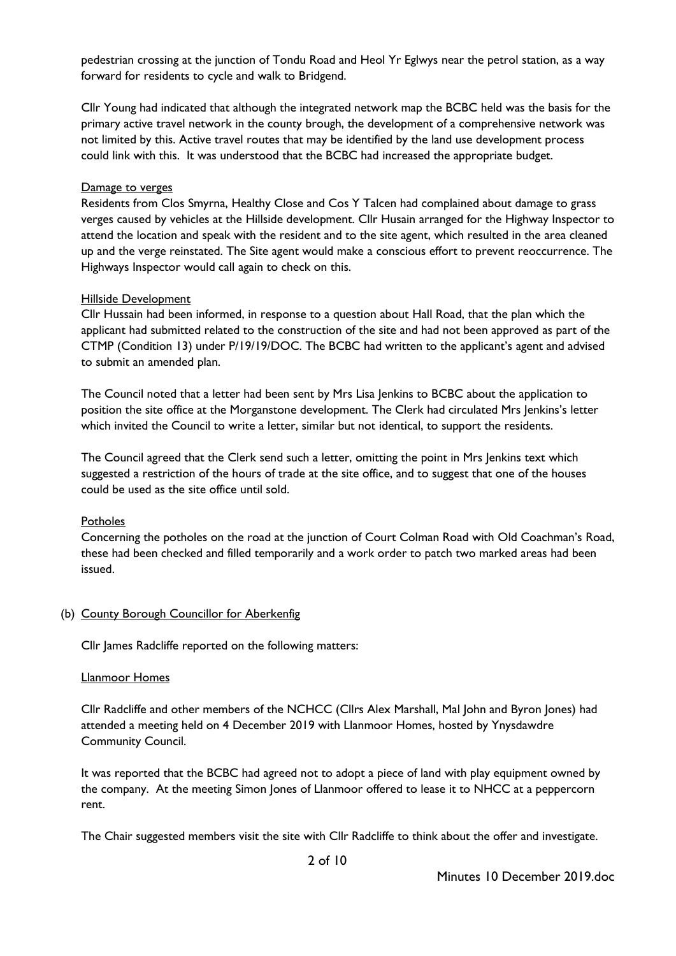pedestrian crossing at the junction of Tondu Road and Heol Yr Eglwys near the petrol station, as a way forward for residents to cycle and walk to Bridgend.

Cllr Young had indicated that although the integrated network map the BCBC held was the basis for the primary active travel network in the county brough, the development of a comprehensive network was not limited by this. Active travel routes that may be identified by the land use development process could link with this. It was understood that the BCBC had increased the appropriate budget.

#### Damage to verges

Residents from Clos Smyrna, Healthy Close and Cos Y Talcen had complained about damage to grass verges caused by vehicles at the Hillside development. Cllr Husain arranged for the Highway Inspector to attend the location and speak with the resident and to the site agent, which resulted in the area cleaned up and the verge reinstated. The Site agent would make a conscious effort to prevent reoccurrence. The Highways Inspector would call again to check on this.

#### Hillside Development

Cllr Hussain had been informed, in response to a question about Hall Road, that the plan which the applicant had submitted related to the construction of the site and had not been approved as part of the CTMP (Condition 13) under P/19/19/DOC. The BCBC had written to the applicant's agent and advised to submit an amended plan.

The Council noted that a letter had been sent by Mrs Lisa Jenkins to BCBC about the application to position the site office at the Morganstone development. The Clerk had circulated Mrs Jenkins's letter which invited the Council to write a letter, similar but not identical, to support the residents.

The Council agreed that the Clerk send such a letter, omitting the point in Mrs Jenkins text which suggested a restriction of the hours of trade at the site office, and to suggest that one of the houses could be used as the site office until sold.

### Potholes

Concerning the potholes on the road at the junction of Court Colman Road with Old Coachman's Road, these had been checked and filled temporarily and a work order to patch two marked areas had been issued.

### (b) County Borough Councillor for Aberkenfig

Cllr James Radcliffe reported on the following matters:

#### Llanmoor Homes

Cllr Radcliffe and other members of the NCHCC (Cllrs Alex Marshall, Mal John and Byron Jones) had attended a meeting held on 4 December 2019 with Llanmoor Homes, hosted by Ynysdawdre Community Council.

It was reported that the BCBC had agreed not to adopt a piece of land with play equipment owned by the company. At the meeting Simon Jones of Llanmoor offered to lease it to NHCC at a peppercorn rent.

The Chair suggested members visit the site with Cllr Radcliffe to think about the offer and investigate.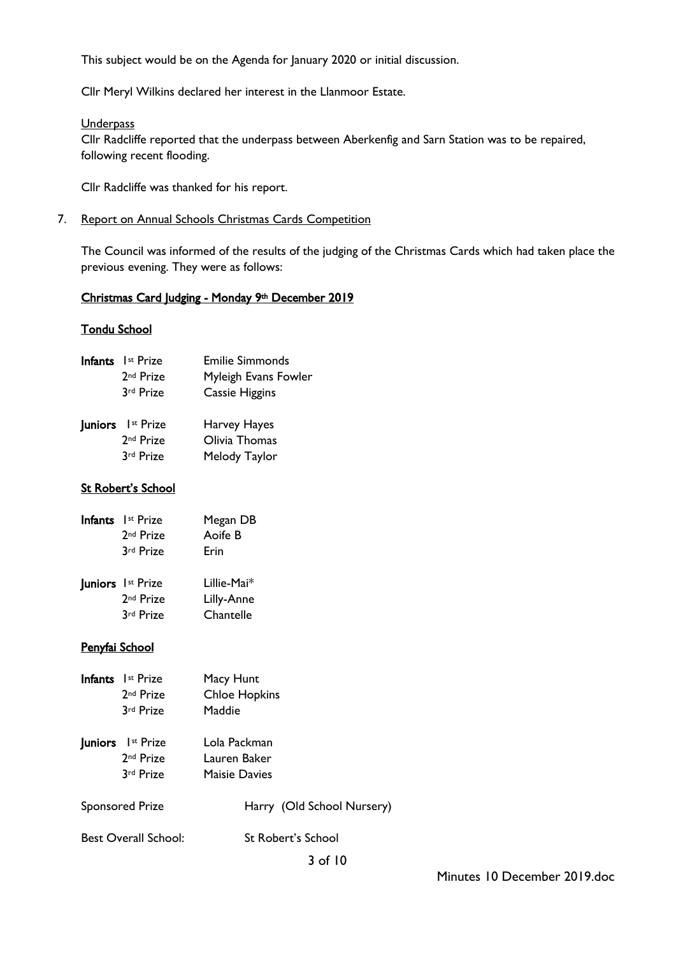This subject would be on the Agenda for January 2020 or initial discussion.

Cllr Meryl Wilkins declared her interest in the Llanmoor Estate.

#### **Underpass**

Cllr Radcliffe reported that the underpass between Aberkenfig and Sarn Station was to be repaired, following recent flooding.

Cllr Radcliffe was thanked for his report.

7. Report on Annual Schools Christmas Cards Competition

The Council was informed of the results of the judging of the Christmas Cards which had taken place the previous evening. They were as follows:

### Christmas Card Judging - Monday 9th December 2019

### Tondu School

| Infants I <sup>st</sup> Prize | <b>Emilie Simmonds</b> |
|-------------------------------|------------------------|
| 2 <sup>nd</sup> Prize         | Myleigh Evans Fowler   |
| 3rd Prize                     | Cassie Higgins         |
|                               |                        |

| Juniors I <sup>st</sup> Prize | Harvey Hayes  |
|-------------------------------|---------------|
| 2 <sup>nd</sup> Prize         | Olivia Thomas |
| 3rd Prize                     | Melody Taylor |

# St Robert's School

| Infants Ist Prize     | Megan DB    |
|-----------------------|-------------|
| 2 <sup>nd</sup> Prize | Aoife B     |
| 3rd Prize             | Erin        |
| Juniors Ist Prize     | Lillie-Mai* |
| 2 <sup>nd</sup> Prize | Lilly-Anne  |
| 3rd Prize             | Chantelle   |

### Penyfai School

| Infants Ist Prize<br>2 <sup>nd</sup> Prize<br>3rd Prize        | Macy Hunt<br><b>Chloe Hopkins</b><br>Maddie          |
|----------------------------------------------------------------|------------------------------------------------------|
| <b>Juniors</b> I <sup>st</sup> Prize<br>2nd Prize<br>3rd Prize | Lola Packman<br>Lauren Baker<br><b>Maisie Davies</b> |
| <b>Sponsored Prize</b>                                         | Harry (Old School Nursery)                           |
| <b>Best Overall School:</b>                                    | St Robert's School                                   |
|                                                                | 3 of 10                                              |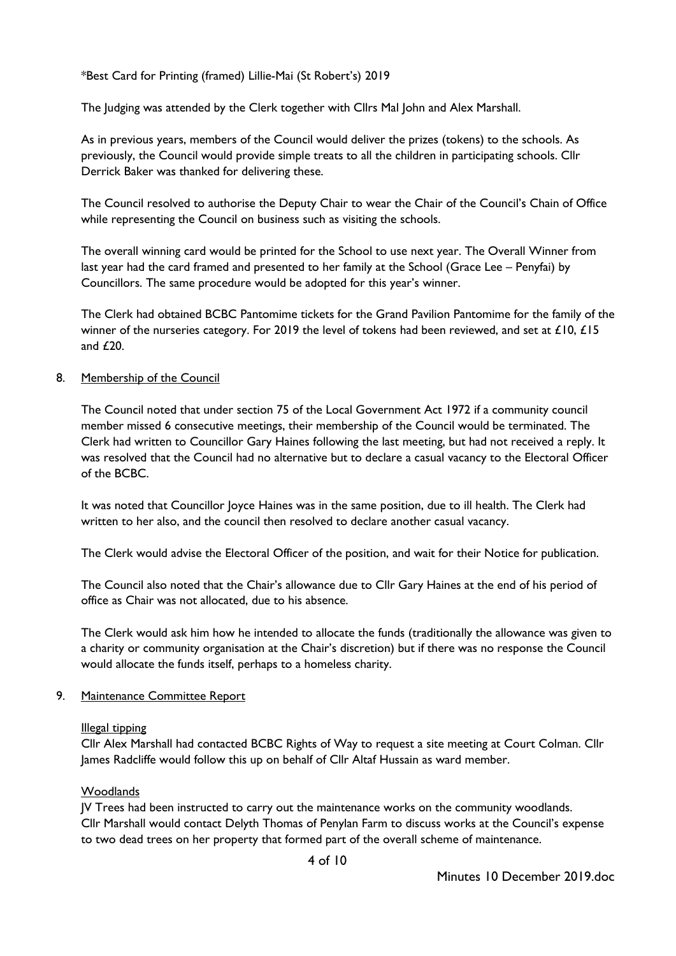\*Best Card for Printing (framed) Lillie-Mai (St Robert's) 2019

The Judging was attended by the Clerk together with Cllrs Mal John and Alex Marshall.

As in previous years, members of the Council would deliver the prizes (tokens) to the schools. As previously, the Council would provide simple treats to all the children in participating schools. Cllr Derrick Baker was thanked for delivering these.

The Council resolved to authorise the Deputy Chair to wear the Chair of the Council's Chain of Office while representing the Council on business such as visiting the schools.

The overall winning card would be printed for the School to use next year. The Overall Winner from last year had the card framed and presented to her family at the School (Grace Lee – Penyfai) by Councillors. The same procedure would be adopted for this year's winner.

The Clerk had obtained BCBC Pantomime tickets for the Grand Pavilion Pantomime for the family of the winner of the nurseries category. For 2019 the level of tokens had been reviewed, and set at £10, £15 and £20.

## 8. Membership of the Council

The Council noted that under section 75 of the Local Government Act 1972 if a community council member missed 6 consecutive meetings, their membership of the Council would be terminated. The Clerk had written to Councillor Gary Haines following the last meeting, but had not received a reply. It was resolved that the Council had no alternative but to declare a casual vacancy to the Electoral Officer of the BCBC.

It was noted that Councillor Joyce Haines was in the same position, due to ill health. The Clerk had written to her also, and the council then resolved to declare another casual vacancy.

The Clerk would advise the Electoral Officer of the position, and wait for their Notice for publication.

The Council also noted that the Chair's allowance due to Cllr Gary Haines at the end of his period of office as Chair was not allocated, due to his absence.

The Clerk would ask him how he intended to allocate the funds (traditionally the allowance was given to a charity or community organisation at the Chair's discretion) but if there was no response the Council would allocate the funds itself, perhaps to a homeless charity.

### 9. Maintenance Committee Report

### Illegal tipping

Cllr Alex Marshall had contacted BCBC Rights of Way to request a site meeting at Court Colman. Cllr James Radcliffe would follow this up on behalf of Cllr Altaf Hussain as ward member.

### Woodlands

JV Trees had been instructed to carry out the maintenance works on the community woodlands. Cllr Marshall would contact Delyth Thomas of Penylan Farm to discuss works at the Council's expense to two dead trees on her property that formed part of the overall scheme of maintenance.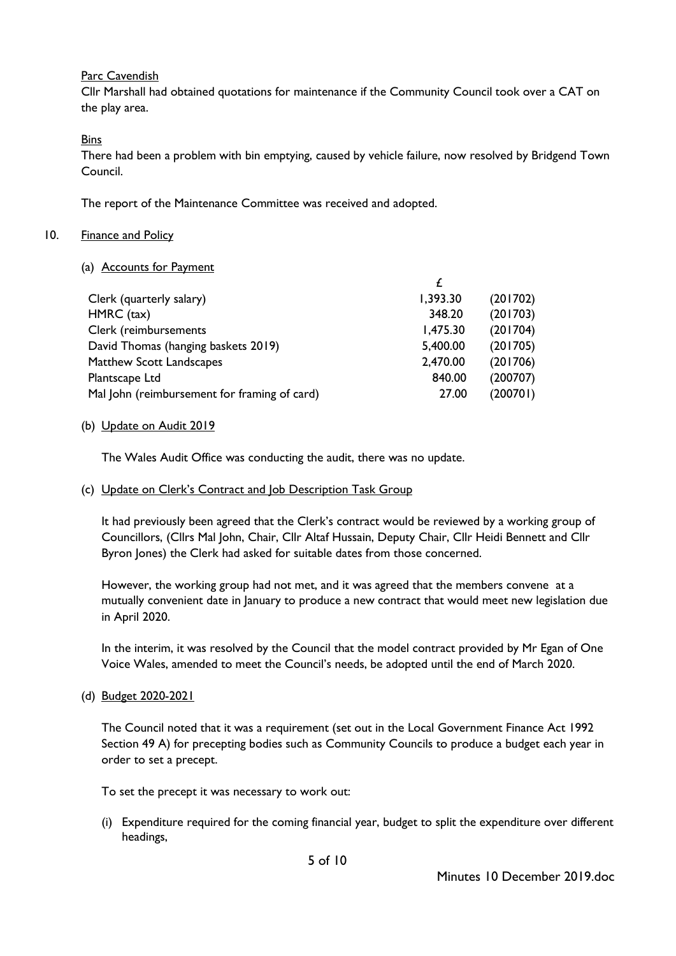### Parc Cavendish

Cllr Marshall had obtained quotations for maintenance if the Community Council took over a CAT on the play area.

## Bins

There had been a problem with bin emptying, caused by vehicle failure, now resolved by Bridgend Town Council.

The report of the Maintenance Committee was received and adopted.

#### 10. Finance and Policy

(a) Accounts for Payment

| Clerk (quarterly salary)                     | 1,393.30 | (201702) |
|----------------------------------------------|----------|----------|
| HMRC (tax)                                   | 348.20   | (201703) |
| Clerk (reimbursements                        | 1,475.30 | (201704) |
| David Thomas (hanging baskets 2019)          | 5,400.00 | (201705) |
| Matthew Scott Landscapes                     | 2,470.00 | (201706) |
| Plantscape Ltd                               | 840.00   | (200707) |
| Mal John (reimbursement for framing of card) | 27.00    | (200701) |
|                                              |          |          |

(b) Update on Audit 2019

The Wales Audit Office was conducting the audit, there was no update.

(c) Update on Clerk's Contract and Job Description Task Group

It had previously been agreed that the Clerk's contract would be reviewed by a working group of Councillors, (Cllrs Mal John, Chair, Cllr Altaf Hussain, Deputy Chair, Cllr Heidi Bennett and Cllr Byron Jones) the Clerk had asked for suitable dates from those concerned.

However, the working group had not met, and it was agreed that the members convene at a mutually convenient date in January to produce a new contract that would meet new legislation due in April 2020.

In the interim, it was resolved by the Council that the model contract provided by Mr Egan of One Voice Wales, amended to meet the Council's needs, be adopted until the end of March 2020.

(d) Budget 2020-2021

The Council noted that it was a requirement (set out in the Local Government Finance Act 1992 Section 49 A) for precepting bodies such as Community Councils to produce a budget each year in order to set a precept.

To set the precept it was necessary to work out:

(i) Expenditure required for the coming financial year, budget to split the expenditure over different headings,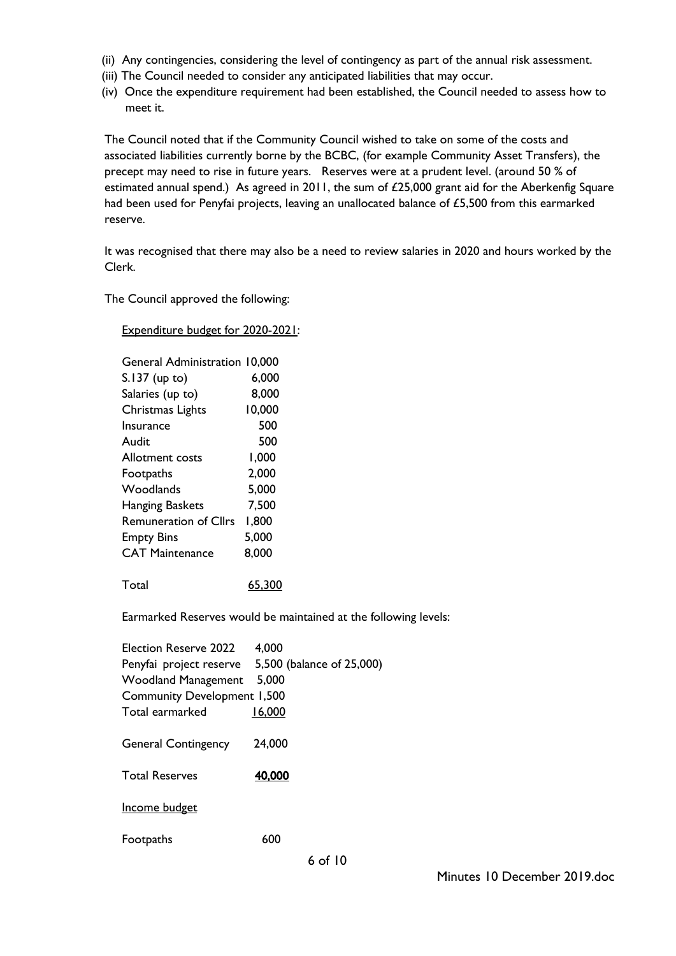- (ii) Any contingencies, considering the level of contingency as part of the annual risk assessment.
- (iii) The Council needed to consider any anticipated liabilities that may occur.
- (iv) Once the expenditure requirement had been established, the Council needed to assess how to meet it.

The Council noted that if the Community Council wished to take on some of the costs and associated liabilities currently borne by the BCBC, (for example Community Asset Transfers), the precept may need to rise in future years. Reserves were at a prudent level. (around 50 % of estimated annual spend.) As agreed in 2011, the sum of £25,000 grant aid for the Aberkenfig Square had been used for Penyfai projects, leaving an unallocated balance of £5,500 from this earmarked reserve.

It was recognised that there may also be a need to review salaries in 2020 and hours worked by the Clerk.

The Council approved the following:

Expenditure budget for 2020-2021:

| <b>General Administration 10,000</b> |        |
|--------------------------------------|--------|
| S.137 (up to)                        | 6,000  |
| Salaries (up to)                     | 8,000  |
| Christmas Lights                     | 10,000 |
| Insurance                            | 500    |
| Audit                                | 500    |
| Allotment costs                      | 1,000  |
| Footpaths                            | 2,000  |
| Woodlands                            | 5,000  |
| <b>Hanging Baskets</b>               | 7,500  |
| <b>Remuneration of Cllrs</b>         | 1,800  |
| <b>Empty Bins</b>                    | 5,000  |
| <b>CAT Maintenance</b>               | 8,000  |
|                                      |        |

Total 65,300

Earmarked Reserves would be maintained at the following levels:

| Election Reserve 2022              | 4,000                     |
|------------------------------------|---------------------------|
| Penyfai project reserve            | 5,500 (balance of 25,000) |
| <b>Woodland Management</b>         | 5,000                     |
| <b>Community Development 1,500</b> |                           |
| Total earmarked                    | 16,000                    |
|                                    |                           |
| <b>General Contingency</b>         | 24,000                    |
|                                    |                           |
| <b>Total Reserves</b>              | 40,000                    |
|                                    |                           |
| Income budget                      |                           |
|                                    |                           |
| Footpaths                          | 600                       |
|                                    |                           |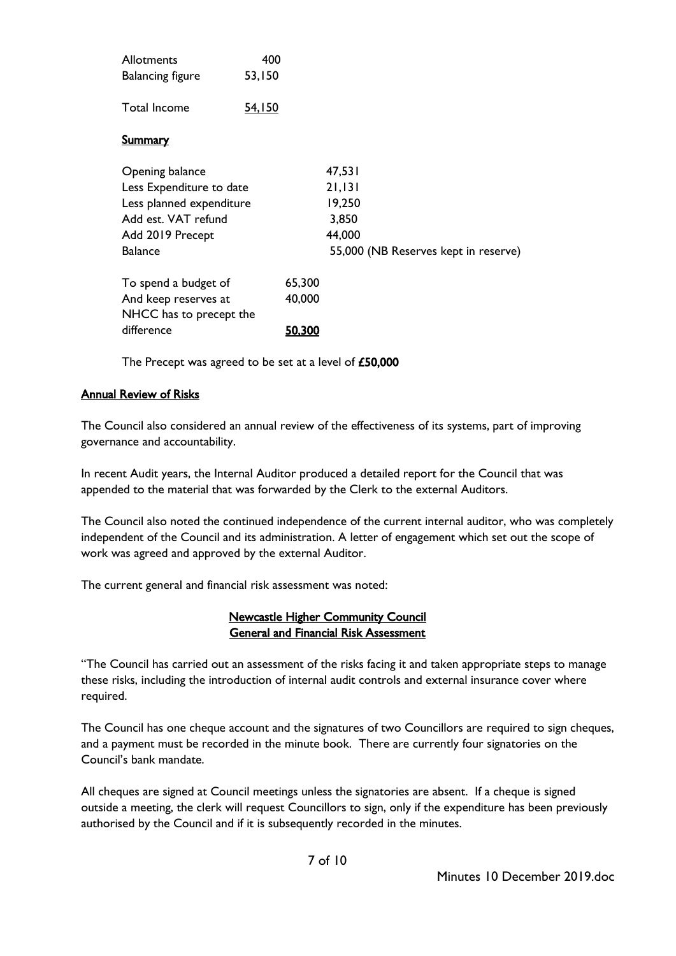| <b>Allotments</b>                               | 400           |                                      |
|-------------------------------------------------|---------------|--------------------------------------|
| <b>Balancing figure</b>                         | 53,150        |                                      |
| <b>Total Income</b>                             | <u>54,150</u> |                                      |
| <b>Summary</b>                                  |               |                                      |
| Opening balance                                 |               | 47,531                               |
| Less Expenditure to date                        |               | 21,131                               |
| Less planned expenditure                        |               | 19,250                               |
| Add est. VAT refund                             |               | 3,850                                |
| Add 2019 Precept                                |               | 44,000                               |
| <b>Balance</b>                                  |               | 55,000 (NB Reserves kept in reserve) |
| To spend a budget of                            | 65,300        |                                      |
| And keep reserves at<br>NHCC has to precept the | 40,000        |                                      |
| difference                                      | <u>50,300</u> |                                      |

The Precept was agreed to be set at a level of £50,000

## Annual Review of Risks

The Council also considered an annual review of the effectiveness of its systems, part of improving governance and accountability.

In recent Audit years, the Internal Auditor produced a detailed report for the Council that was appended to the material that was forwarded by the Clerk to the external Auditors.

The Council also noted the continued independence of the current internal auditor, who was completely independent of the Council and its administration. A letter of engagement which set out the scope of work was agreed and approved by the external Auditor.

The current general and financial risk assessment was noted:

## Newcastle Higher Community Council General and Financial Risk Assessment

"The Council has carried out an assessment of the risks facing it and taken appropriate steps to manage these risks, including the introduction of internal audit controls and external insurance cover where required.

The Council has one cheque account and the signatures of two Councillors are required to sign cheques, and a payment must be recorded in the minute book. There are currently four signatories on the Council's bank mandate.

All cheques are signed at Council meetings unless the signatories are absent. If a cheque is signed outside a meeting, the clerk will request Councillors to sign, only if the expenditure has been previously authorised by the Council and if it is subsequently recorded in the minutes.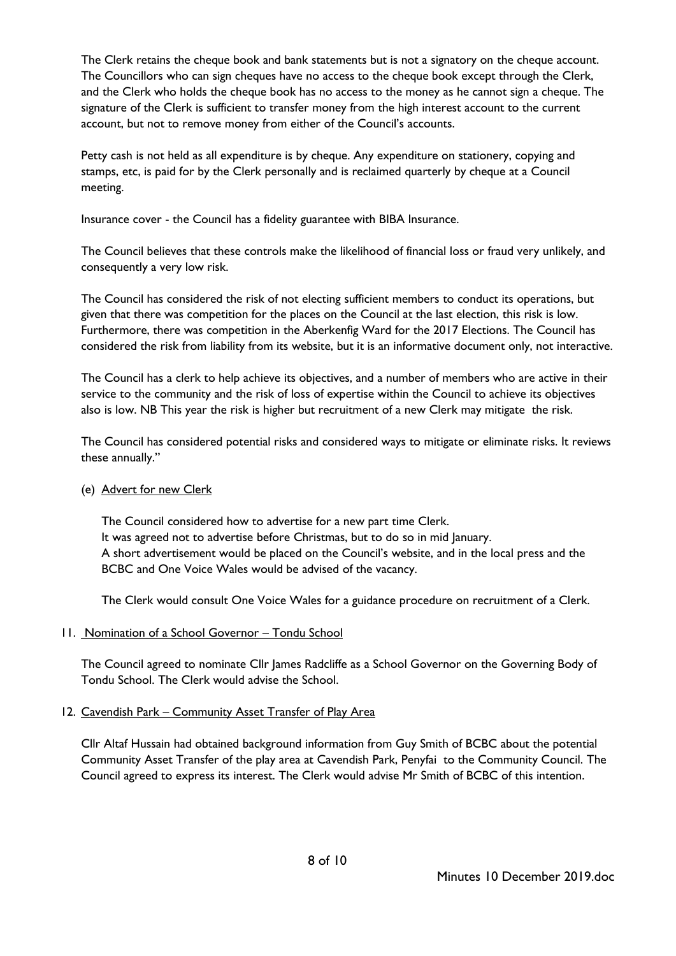The Clerk retains the cheque book and bank statements but is not a signatory on the cheque account. The Councillors who can sign cheques have no access to the cheque book except through the Clerk, and the Clerk who holds the cheque book has no access to the money as he cannot sign a cheque. The signature of the Clerk is sufficient to transfer money from the high interest account to the current account, but not to remove money from either of the Council's accounts.

Petty cash is not held as all expenditure is by cheque. Any expenditure on stationery, copying and stamps, etc, is paid for by the Clerk personally and is reclaimed quarterly by cheque at a Council meeting.

Insurance cover - the Council has a fidelity guarantee with BIBA Insurance.

The Council believes that these controls make the likelihood of financial loss or fraud very unlikely, and consequently a very low risk.

The Council has considered the risk of not electing sufficient members to conduct its operations, but given that there was competition for the places on the Council at the last election, this risk is low. Furthermore, there was competition in the Aberkenfig Ward for the 2017 Elections. The Council has considered the risk from liability from its website, but it is an informative document only, not interactive.

The Council has a clerk to help achieve its objectives, and a number of members who are active in their service to the community and the risk of loss of expertise within the Council to achieve its objectives also is low. NB This year the risk is higher but recruitment of a new Clerk may mitigate the risk.

The Council has considered potential risks and considered ways to mitigate or eliminate risks. It reviews these annually."

# (e) Advert for new Clerk

The Council considered how to advertise for a new part time Clerk. It was agreed not to advertise before Christmas, but to do so in mid January. A short advertisement would be placed on the Council's website, and in the local press and the BCBC and One Voice Wales would be advised of the vacancy.

The Clerk would consult One Voice Wales for a guidance procedure on recruitment of a Clerk.

# 11. Nomination of a School Governor – Tondu School

The Council agreed to nominate Cllr James Radcliffe as a School Governor on the Governing Body of Tondu School. The Clerk would advise the School.

# 12. Cavendish Park - Community Asset Transfer of Play Area

Cllr Altaf Hussain had obtained background information from Guy Smith of BCBC about the potential Community Asset Transfer of the play area at Cavendish Park, Penyfai to the Community Council. The Council agreed to express its interest. The Clerk would advise Mr Smith of BCBC of this intention.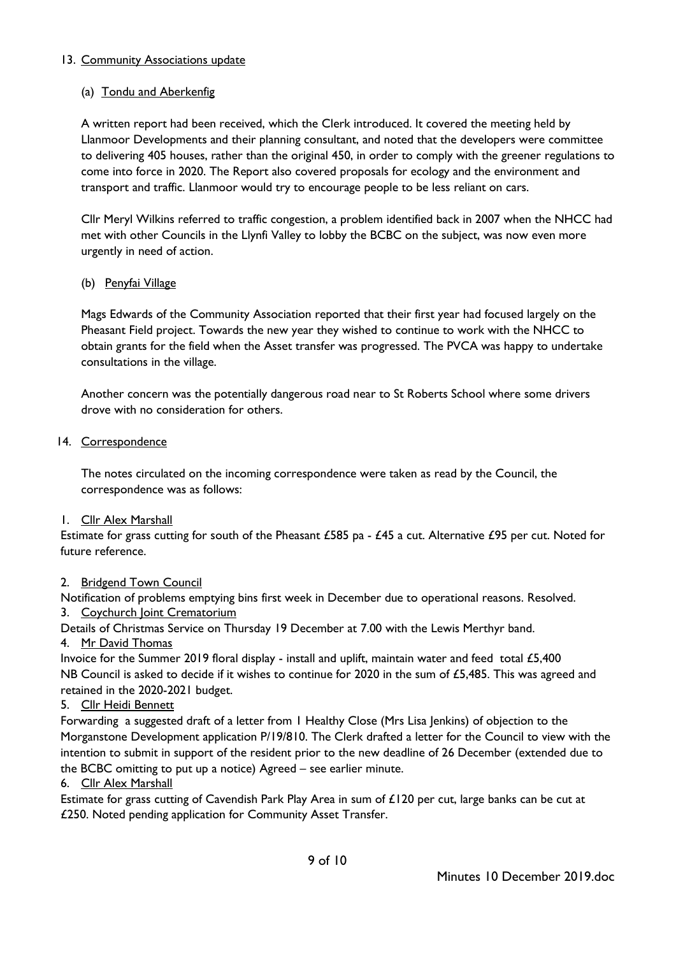## 13. Community Associations update

## (a) Tondu and Aberkenfig

A written report had been received, which the Clerk introduced. It covered the meeting held by Llanmoor Developments and their planning consultant, and noted that the developers were committee to delivering 405 houses, rather than the original 450, in order to comply with the greener regulations to come into force in 2020. The Report also covered proposals for ecology and the environment and transport and traffic. Llanmoor would try to encourage people to be less reliant on cars.

Cllr Meryl Wilkins referred to traffic congestion, a problem identified back in 2007 when the NHCC had met with other Councils in the Llynfi Valley to lobby the BCBC on the subject, was now even more urgently in need of action.

### (b) Penyfai Village

Mags Edwards of the Community Association reported that their first year had focused largely on the Pheasant Field project. Towards the new year they wished to continue to work with the NHCC to obtain grants for the field when the Asset transfer was progressed. The PVCA was happy to undertake consultations in the village.

Another concern was the potentially dangerous road near to St Roberts School where some drivers drove with no consideration for others.

### 14. Correspondence

The notes circulated on the incoming correspondence were taken as read by the Council, the correspondence was as follows:

### 1. Cllr Alex Marshall

Estimate for grass cutting for south of the Pheasant £585 pa - £45 a cut. Alternative £95 per cut. Noted for future reference.

### 2. Bridgend Town Council

Notification of problems emptying bins first week in December due to operational reasons. Resolved. 3. Coychurch Joint Crematorium

Details of Christmas Service on Thursday 19 December at 7.00 with the Lewis Merthyr band.

# 4. Mr David Thomas

Invoice for the Summer 2019 floral display - install and uplift, maintain water and feed total £5,400 NB Council is asked to decide if it wishes to continue for 2020 in the sum of  $£5,485$ . This was agreed and retained in the 2020-2021 budget.

# 5. Cllr Heidi Bennett

Forwarding a suggested draft of a letter from 1 Healthy Close (Mrs Lisa Jenkins) of objection to the Morganstone Development application P/19/810. The Clerk drafted a letter for the Council to view with the intention to submit in support of the resident prior to the new deadline of 26 December (extended due to the BCBC omitting to put up a notice) Agreed – see earlier minute.

### 6. Cllr Alex Marshall

Estimate for grass cutting of Cavendish Park Play Area in sum of £120 per cut, large banks can be cut at £250. Noted pending application for Community Asset Transfer.